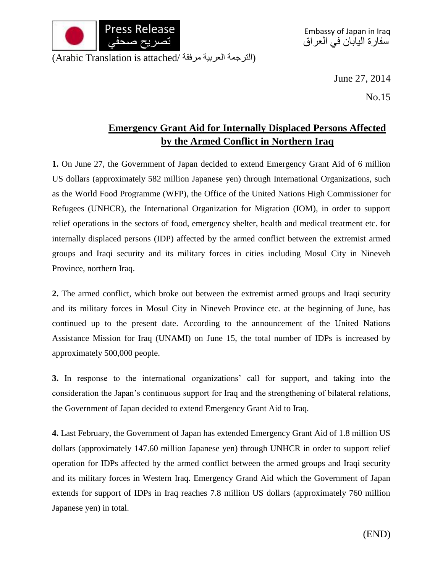

(الترجمة العربية مرفقة /Arabic Translation is attached)

June 27, 2014

No.15

## **Emergency Grant Aid for Internally Displaced Persons Affected by the Armed Conflict in Northern Iraq**

**1.** On June 27, the Government of Japan decided to extend Emergency Grant Aid of 6 million US dollars (approximately 582 million Japanese yen) through International Organizations, such as the World Food Programme (WFP), the Office of the United Nations High Commissioner for Refugees (UNHCR), the International Organization for Migration (IOM), in order to support relief operations in the sectors of food, emergency shelter, health and medical treatment etc. for internally displaced persons (IDP) affected by the armed conflict between the extremist armed groups and Iraqi security and its military forces in cities including Mosul City in Nineveh Province, northern Iraq.

**2.** The armed conflict, which broke out between the extremist armed groups and Iraqi security and its military forces in Mosul City in Nineveh Province etc. at the beginning of June, has continued up to the present date. According to the announcement of the United Nations Assistance Mission for Iraq (UNAMI) on June 15, the total number of IDPs is increased by approximately 500,000 people.

**3.** In response to the international organizations' call for support, and taking into the consideration the Japan's continuous support for Iraq and the strengthening of bilateral relations, the Government of Japan decided to extend Emergency Grant Aid to Iraq.

**4.** Last February, the Government of Japan has extended Emergency Grant Aid of 1.8 million US dollars (approximately 147.60 million Japanese yen) through UNHCR in order to support relief operation for IDPs affected by the armed conflict between the armed groups and Iraqi security and its military forces in Western Iraq. Emergency Grand Aid which the Government of Japan extends for support of IDPs in Iraq reaches 7.8 million US dollars (approximately 760 million Japanese yen) in total.